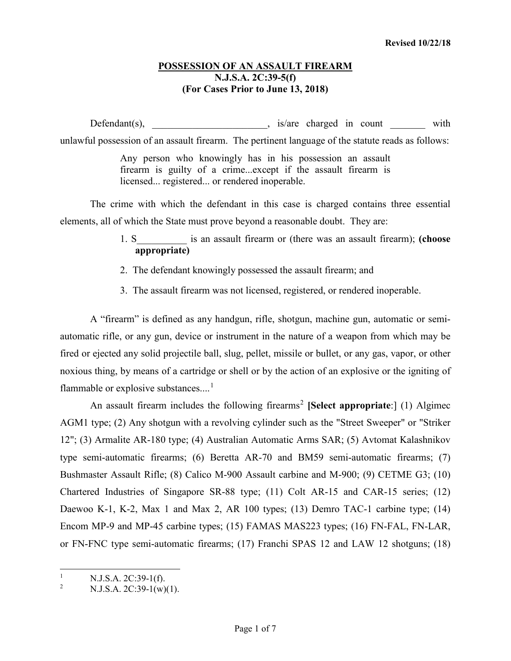## **POSSESSION OF AN ASSAULT FIREARM N.J.S.A. 2C:39-5(f) (For Cases Prior to June 13, 2018)**

Defendant(s), \_\_\_\_\_\_\_\_\_\_\_\_\_\_\_\_\_\_\_\_, is/are charged in count with unlawful possession of an assault firearm. The pertinent language of the statute reads as follows:

> Any person who knowingly has in his possession an assault firearm is guilty of a crime...except if the assault firearm is licensed... registered... or rendered inoperable.

The crime with which the defendant in this case is charged contains three essential elements, all of which the State must prove beyond a reasonable doubt. They are:

- 1. S\_\_\_\_\_\_\_\_\_\_ is an assault firearm or (there was an assault firearm); **(choose appropriate)**
- 2. The defendant knowingly possessed the assault firearm; and
- 3. The assault firearm was not licensed, registered, or rendered inoperable.

A "firearm" is defined as any handgun, rifle, shotgun, machine gun, automatic or semiautomatic rifle, or any gun, device or instrument in the nature of a weapon from which may be fired or ejected any solid projectile ball, slug, pellet, missile or bullet, or any gas, vapor, or other noxious thing, by means of a cartridge or shell or by the action of an explosive or the igniting of flammable or explosive substances....<sup>[1](#page-0-0)</sup>

An assault firearm includes the following firearms<sup>[2](#page-0-1)</sup> [Select appropriate:] (1) Algimec AGM1 type; (2) Any shotgun with a revolving cylinder such as the "Street Sweeper" or "Striker 12"; (3) Armalite AR-180 type; (4) Australian Automatic Arms SAR; (5) Avtomat Kalashnikov type semi-automatic firearms; (6) Beretta AR-70 and BM59 semi-automatic firearms; (7) Bushmaster Assault Rifle; (8) Calico M-900 Assault carbine and M-900; (9) CETME G3; (10) Chartered Industries of Singapore SR-88 type; (11) Colt AR-15 and CAR-15 series; (12) Daewoo K-1, K-2, Max 1 and Max 2, AR 100 types; (13) Demro TAC-1 carbine type; (14) Encom MP-9 and MP-45 carbine types; (15) FAMAS MAS223 types; (16) FN-FAL, FN-LAR, or FN-FNC type semi-automatic firearms; (17) Franchi SPAS 12 and LAW 12 shotguns; (18)

<span id="page-0-0"></span><sup>&</sup>lt;sup>1</sup> N.J.S.A. 2C:39-1(f).<br><sup>2</sup> N.J.S.A. 2C:39-1(w)

<span id="page-0-1"></span> $N.J.S.A. 2C:39-1(w)(1).$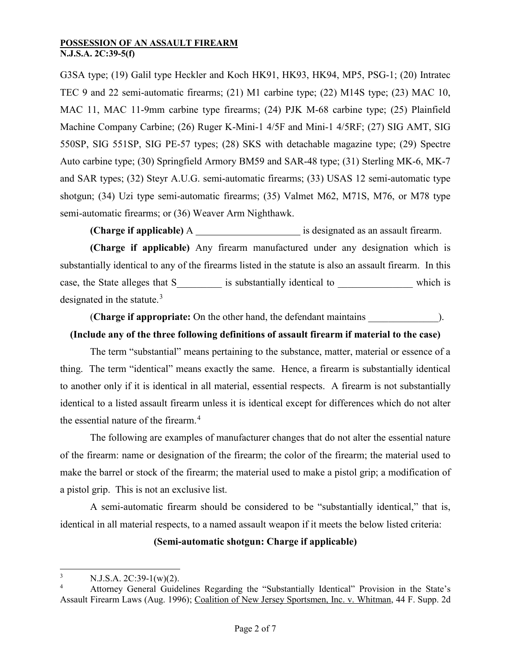G3SA type; (19) Galil type Heckler and Koch HK91, HK93, HK94, MP5, PSG-1; (20) Intratec TEC 9 and 22 semi-automatic firearms; (21) M1 carbine type; (22) M14S type; (23) MAC 10, MAC 11, MAC 11-9mm carbine type firearms; (24) PJK M-68 carbine type; (25) Plainfield Machine Company Carbine; (26) Ruger K-Mini-1 4/5F and Mini-1 4/5RF; (27) SIG AMT, SIG 550SP, SIG 551SP, SIG PE-57 types; (28) SKS with detachable magazine type; (29) Spectre Auto carbine type; (30) Springfield Armory BM59 and SAR-48 type; (31) Sterling MK-6, MK-7 and SAR types; (32) Steyr A.U.G. semi-automatic firearms; (33) USAS 12 semi-automatic type shotgun; (34) Uzi type semi-automatic firearms; (35) Valmet M62, M71S, M76, or M78 type semi-automatic firearms; or (36) Weaver Arm Nighthawk.

**(Charge if applicable)** A **is designated as an assault firearm.** 

**(Charge if applicable)** Any firearm manufactured under any designation which is substantially identical to any of the firearms listed in the statute is also an assault firearm. In this case, the State alleges that S are is substantially identical to which is designated in the statute.[3](#page-1-0)

(**Charge if appropriate:** On the other hand, the defendant maintains \_\_\_\_\_\_\_\_\_\_\_\_\_\_).

# **(Include any of the three following definitions of assault firearm if material to the case)**

The term "substantial" means pertaining to the substance, matter, material or essence of a thing. The term "identical" means exactly the same. Hence, a firearm is substantially identical to another only if it is identical in all material, essential respects. A firearm is not substantially identical to a listed assault firearm unless it is identical except for differences which do not alter the essential nature of the firearm.<sup>[4](#page-1-1)</sup>

The following are examples of manufacturer changes that do not alter the essential nature of the firearm: name or designation of the firearm; the color of the firearm; the material used to make the barrel or stock of the firearm; the material used to make a pistol grip; a modification of a pistol grip. This is not an exclusive list.

A semi-automatic firearm should be considered to be "substantially identical," that is, identical in all material respects, to a named assault weapon if it meets the below listed criteria:

## **(Semi-automatic shotgun: Charge if applicable)**

<span id="page-1-0"></span> $\frac{3}{4}$  N.J.S.A. 2C:39-1(w)(2).

<span id="page-1-1"></span><sup>4</sup> Attorney General Guidelines Regarding the "Substantially Identical" Provision in the State's Assault Firearm Laws (Aug. 1996); Coalition of New Jersey Sportsmen, Inc. v. Whitman, 44 F. Supp. 2d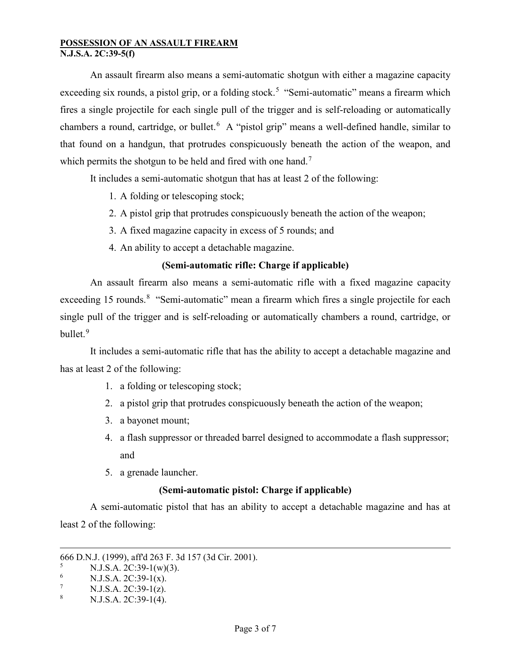An assault firearm also means a semi-automatic shotgun with either a magazine capacity exceeding six rounds, a pistol grip, or a folding stock.<sup>[5](#page-2-0)</sup> "Semi-automatic" means a firearm which fires a single projectile for each single pull of the trigger and is self-reloading or automatically chambers a round, cartridge, or bullet.<sup>[6](#page-2-1)</sup> A "pistol grip" means a well-defined handle, similar to that found on a handgun, that protrudes conspicuously beneath the action of the weapon, and which permits the shotgun to be held and fired with one hand.<sup>[7](#page-2-2)</sup>

It includes a semi-automatic shotgun that has at least 2 of the following:

- 1. A folding or telescoping stock;
- 2. A pistol grip that protrudes conspicuously beneath the action of the weapon;
- 3. A fixed magazine capacity in excess of 5 rounds; and
- 4. An ability to accept a detachable magazine.

# **(Semi-automatic rifle: Charge if applicable)**

An assault firearm also means a semi-automatic rifle with a fixed magazine capacity exceeding 15 rounds.<sup>[8](#page-2-3)</sup> "Semi-automatic" mean a firearm which fires a single projectile for each single pull of the trigger and is self-reloading or automatically chambers a round, cartridge, or bullet.<sup>[9](#page-2-0)</sup>

It includes a semi-automatic rifle that has the ability to accept a detachable magazine and has at least 2 of the following:

- 1. a folding or telescoping stock;
- 2. a pistol grip that protrudes conspicuously beneath the action of the weapon;
- 3. a bayonet mount;
- 4. a flash suppressor or threaded barrel designed to accommodate a flash suppressor; and
- 5. a grenade launcher.

# **(Semi-automatic pistol: Charge if applicable)**

A semi-automatic pistol that has an ability to accept a detachable magazine and has at least 2 of the following:

 $\overline{a}$ 

<sup>666</sup> D.N.J. (1999), aff'd 263 F. 3d 157 (3d Cir. 2001).

<span id="page-2-0"></span> $\frac{5}{6}$  N.J.S.A. 2C:39-1(w)(3).

<span id="page-2-1"></span> $\frac{6}{7}$  N.J.S.A. 2C:39-1(x).

<span id="page-2-2"></span><sup>&</sup>lt;sup>7</sup> N.J.S.A. 2C:39-1(z).

<span id="page-2-3"></span><sup>8</sup> N.J.S.A. 2C:39-1(4).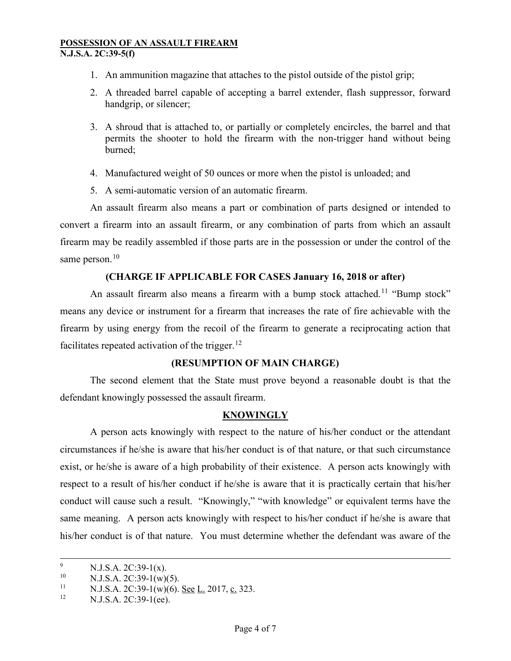- 1. An ammunition magazine that attaches to the pistol outside of the pistol grip;
- 2. A threaded barrel capable of accepting a barrel extender, flash suppressor, forward handgrip, or silencer;
- 3. A shroud that is attached to, or partially or completely encircles, the barrel and that permits the shooter to hold the firearm with the non-trigger hand without being burned;
- 4. Manufactured weight of 50 ounces or more when the pistol is unloaded; and
- 5. A semi-automatic version of an automatic firearm.

An assault firearm also means a part or combination of parts designed or intended to convert a firearm into an assault firearm, or any combination of parts from which an assault firearm may be readily assembled if those parts are in the possession or under the control of the same person.<sup>[10](#page-3-0)</sup>

# **(CHARGE IF APPLICABLE FOR CASES January 16, 2018 or after)**

An assault firearm also means a firearm with a bump stock attached.<sup>[11](#page-3-1)</sup> "Bump stock" means any device or instrument for a firearm that increases the rate of fire achievable with the firearm by using energy from the recoil of the firearm to generate a reciprocating action that facilitates repeated activation of the trigger.<sup>[12](#page-3-2)</sup>

## **(RESUMPTION OF MAIN CHARGE)**

The second element that the State must prove beyond a reasonable doubt is that the defendant knowingly possessed the assault firearm.

## **KNOWINGLY**

A person acts knowingly with respect to the nature of his/her conduct or the attendant circumstances if he/she is aware that his/her conduct is of that nature, or that such circumstance exist, or he/she is aware of a high probability of their existence. A person acts knowingly with respect to a result of his/her conduct if he/she is aware that it is practically certain that his/her conduct will cause such a result. "Knowingly," "with knowledge" or equivalent terms have the same meaning. A person acts knowingly with respect to his/her conduct if he/she is aware that his/her conduct is of that nature. You must determine whether the defendant was aware of the

<sup>&</sup>lt;sup>9</sup> N.J.S.A. 2C:39-1(x).

<span id="page-3-0"></span><sup>&</sup>lt;sup>10</sup> N.J.S.A. 2C:39-1(w)(5).<br><sup>11</sup> N.J.S.A. 2C:30.1(w)(6)

<span id="page-3-1"></span><sup>&</sup>lt;sup>11</sup> N.J.S.A. 2C:39-1(w)(6). <u>See L.</u> 2017, c. 323.

<span id="page-3-2"></span>N.J.S.A. 2C:39-1(ee).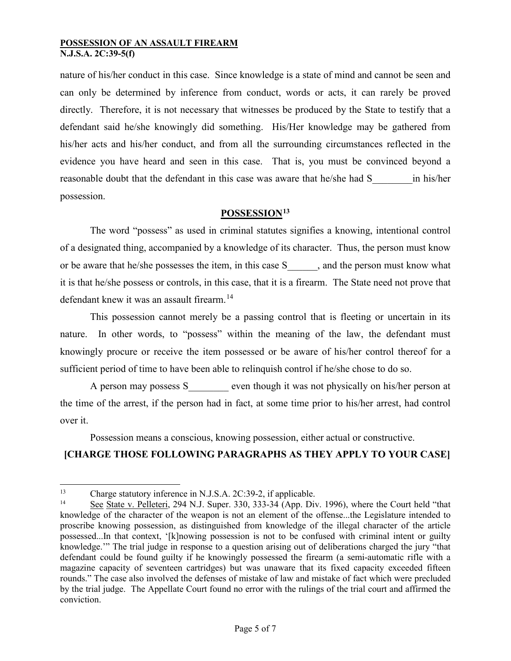nature of his/her conduct in this case. Since knowledge is a state of mind and cannot be seen and can only be determined by inference from conduct, words or acts, it can rarely be proved directly. Therefore, it is not necessary that witnesses be produced by the State to testify that a defendant said he/she knowingly did something. His/Her knowledge may be gathered from his/her acts and his/her conduct, and from all the surrounding circumstances reflected in the evidence you have heard and seen in this case. That is, you must be convinced beyond a reasonable doubt that the defendant in this case was aware that he/she had S\_\_\_\_\_\_\_\_in his/her possession.

# **POSSESSION[13](#page-4-0)**

The word "possess" as used in criminal statutes signifies a knowing, intentional control of a designated thing, accompanied by a knowledge of its character. Thus, the person must know or be aware that he/she possesses the item, in this case S\_\_\_\_\_\_, and the person must know what it is that he/she possess or controls, in this case, that it is a firearm. The State need not prove that defendant knew it was an assault firearm.<sup>[14](#page-4-1)</sup>

This possession cannot merely be a passing control that is fleeting or uncertain in its nature. In other words, to "possess" within the meaning of the law, the defendant must knowingly procure or receive the item possessed or be aware of his/her control thereof for a sufficient period of time to have been able to relinquish control if he/she chose to do so.

A person may possess S even though it was not physically on his/her person at the time of the arrest, if the person had in fact, at some time prior to his/her arrest, had control over it.

# Possession means a conscious, knowing possession, either actual or constructive. **[CHARGE THOSE FOLLOWING PARAGRAPHS AS THEY APPLY TO YOUR CASE]**

<span id="page-4-0"></span><sup>&</sup>lt;sup>13</sup> Charge statutory inference in N.J.S.A. 2C:39-2, if applicable.<br><sup>14</sup> See State v. Polleteri, 204 N.J. Super, 330, 333, 34 (App. Div.

<span id="page-4-1"></span>See State v. Pelleteri, 294 N.J. Super. 330, 333-34 (App. Div. 1996), where the Court held "that knowledge of the character of the weapon is not an element of the offense...the Legislature intended to proscribe knowing possession, as distinguished from knowledge of the illegal character of the article possessed...In that context, '[k]nowing possession is not to be confused with criminal intent or guilty knowledge.'" The trial judge in response to a question arising out of deliberations charged the jury "that defendant could be found guilty if he knowingly possessed the firearm (a semi-automatic rifle with a magazine capacity of seventeen cartridges) but was unaware that its fixed capacity exceeded fifteen rounds." The case also involved the defenses of mistake of law and mistake of fact which were precluded by the trial judge. The Appellate Court found no error with the rulings of the trial court and affirmed the conviction.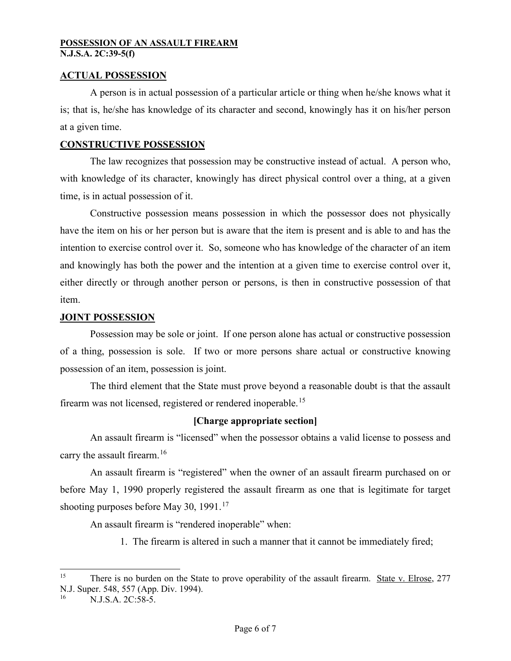## **ACTUAL POSSESSION**

A person is in actual possession of a particular article or thing when he/she knows what it is; that is, he/she has knowledge of its character and second, knowingly has it on his/her person at a given time.

## **CONSTRUCTIVE POSSESSION**

The law recognizes that possession may be constructive instead of actual. A person who, with knowledge of its character, knowingly has direct physical control over a thing, at a given time, is in actual possession of it.

Constructive possession means possession in which the possessor does not physically have the item on his or her person but is aware that the item is present and is able to and has the intention to exercise control over it. So, someone who has knowledge of the character of an item and knowingly has both the power and the intention at a given time to exercise control over it, either directly or through another person or persons, is then in constructive possession of that item.

#### **JOINT POSSESSION**

Possession may be sole or joint. If one person alone has actual or constructive possession of a thing, possession is sole. If two or more persons share actual or constructive knowing possession of an item, possession is joint.

The third element that the State must prove beyond a reasonable doubt is that the assault firearm was not licensed, registered or rendered inoperable.<sup>[15](#page-5-0)</sup>

## **[Charge appropriate section]**

An assault firearm is "licensed" when the possessor obtains a valid license to possess and carry the assault firearm.<sup>[16](#page-5-1)</sup>

An assault firearm is "registered" when the owner of an assault firearm purchased on or before May 1, 1990 properly registered the assault firearm as one that is legitimate for target shooting purposes before May 30, 1991.<sup>[17](#page-5-2)</sup>

An assault firearm is "rendered inoperable" when:

1. The firearm is altered in such a manner that it cannot be immediately fired;

<span id="page-5-2"></span><span id="page-5-0"></span><sup>&</sup>lt;sup>15</sup> There is no burden on the State to prove operability of the assault firearm. <u>State v. Elrose</u>, 277 N.J. Super. 548, 557 (App. Div. 1994).

<span id="page-5-1"></span>N.J.S.A. 2C:58-5.